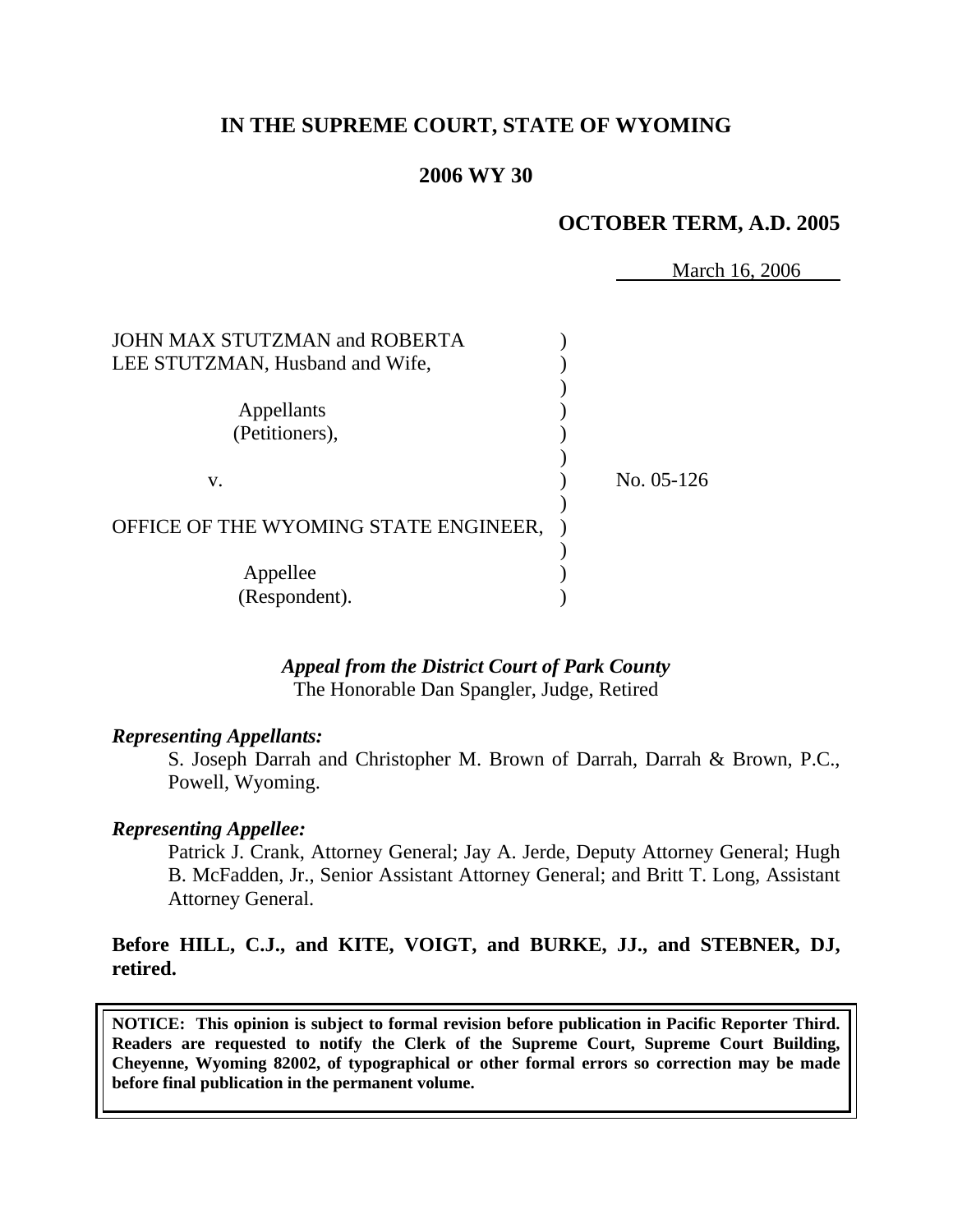# **IN THE SUPREME COURT, STATE OF WYOMING**

## **2006 WY 30**

### **OCTOBER TERM, A.D. 2005**

March 16, 2006

| JOHN MAX STUTZMAN and ROBERTA         |              |
|---------------------------------------|--------------|
| LEE STUTZMAN, Husband and Wife,       |              |
| Appellants<br>(Petitioners),          |              |
| V.                                    | No. $05-126$ |
| OFFICE OF THE WYOMING STATE ENGINEER, |              |
| Appellee<br>(Respondent).             |              |

*Appeal from the District Court of Park County* The Honorable Dan Spangler, Judge, Retired

#### *Representing Appellants:*

 S. Joseph Darrah and Christopher M. Brown of Darrah, Darrah & Brown, P.C., Powell, Wyoming.

#### *Representing Appellee:*

 Patrick J. Crank, Attorney General; Jay A. Jerde, Deputy Attorney General; Hugh B. McFadden, Jr., Senior Assistant Attorney General; and Britt T. Long, Assistant Attorney General.

## **Before HILL, C.J., and KITE, VOIGT, and BURKE, JJ., and STEBNER, DJ, retired.**

**NOTICE: This opinion is subject to formal revision before publication in Pacific Reporter Third. Readers are requested to notify the Clerk of the Supreme Court, Supreme Court Building, Cheyenne, Wyoming 82002, of typographical or other formal errors so correction may be made before final publication in the permanent volume.**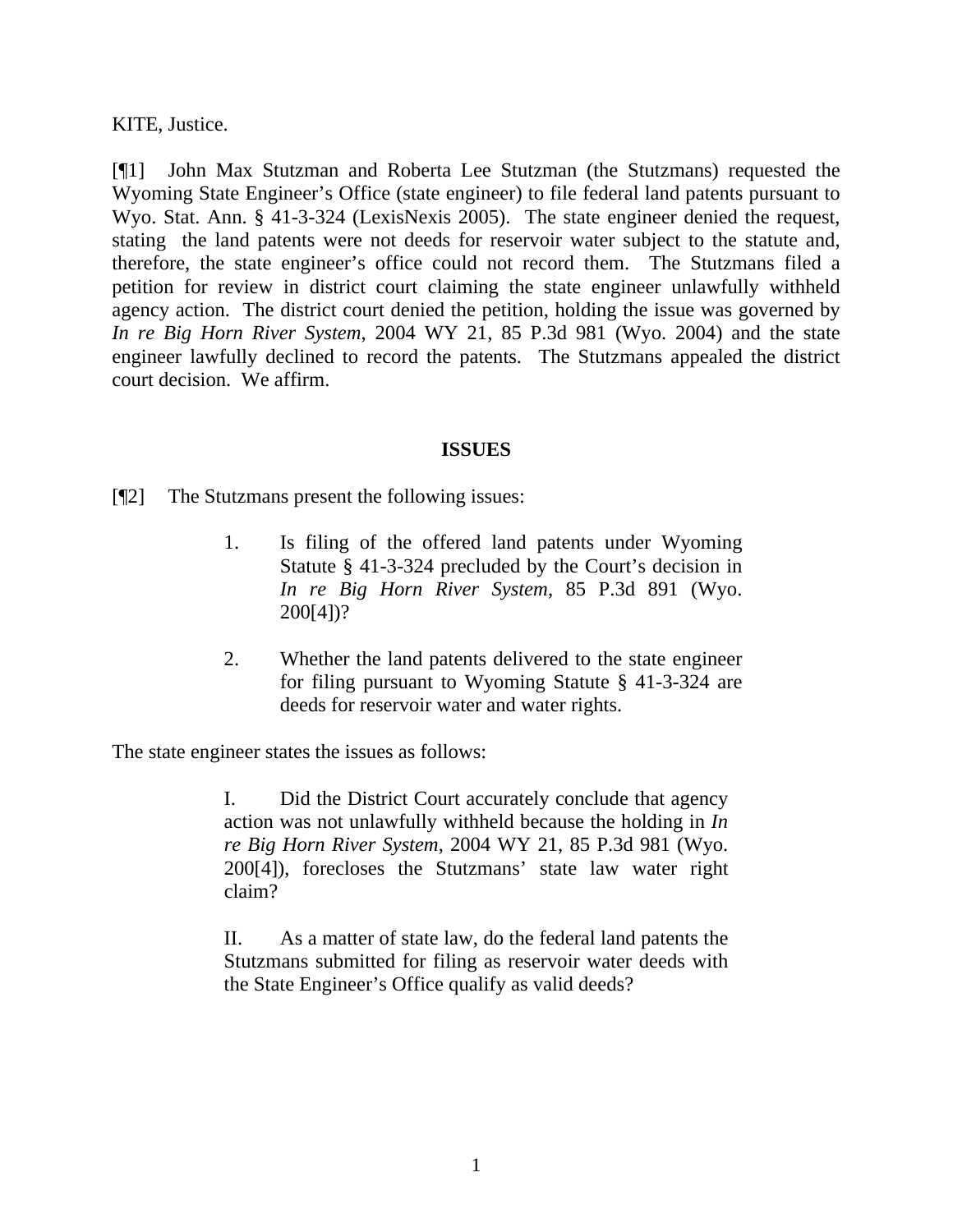KITE, Justice.

[¶1] John Max Stutzman and Roberta Lee Stutzman (the Stutzmans) requested the Wyoming State Engineer's Office (state engineer) to file federal land patents pursuant to Wyo. Stat. Ann. § 41-3-324 (LexisNexis 2005). The state engineer denied the request, stating the land patents were not deeds for reservoir water subject to the statute and, therefore, the state engineer's office could not record them. The Stutzmans filed a petition for review in district court claiming the state engineer unlawfully withheld agency action. The district court denied the petition, holding the issue was governed by *In re Big Horn River System*, 2004 WY 21, 85 P.3d 981 (Wyo. 2004) and the state engineer lawfully declined to record the patents. The Stutzmans appealed the district court decision. We affirm.

#### **ISSUES**

[¶2] The Stutzmans present the following issues:

- 1. Is filing of the offered land patents under Wyoming Statute § 41-3-324 precluded by the Court's decision in *In re Big Horn River System*, 85 P.3d 891 (Wyo. 200[4])?
- 2. Whether the land patents delivered to the state engineer for filing pursuant to Wyoming Statute § 41-3-324 are deeds for reservoir water and water rights.

The state engineer states the issues as follows:

I. Did the District Court accurately conclude that agency action was not unlawfully withheld because the holding in *In re Big Horn River System*, 2004 WY 21, 85 P.3d 981 (Wyo. 200[4]), forecloses the Stutzmans' state law water right claim?

II. As a matter of state law, do the federal land patents the Stutzmans submitted for filing as reservoir water deeds with the State Engineer's Office qualify as valid deeds?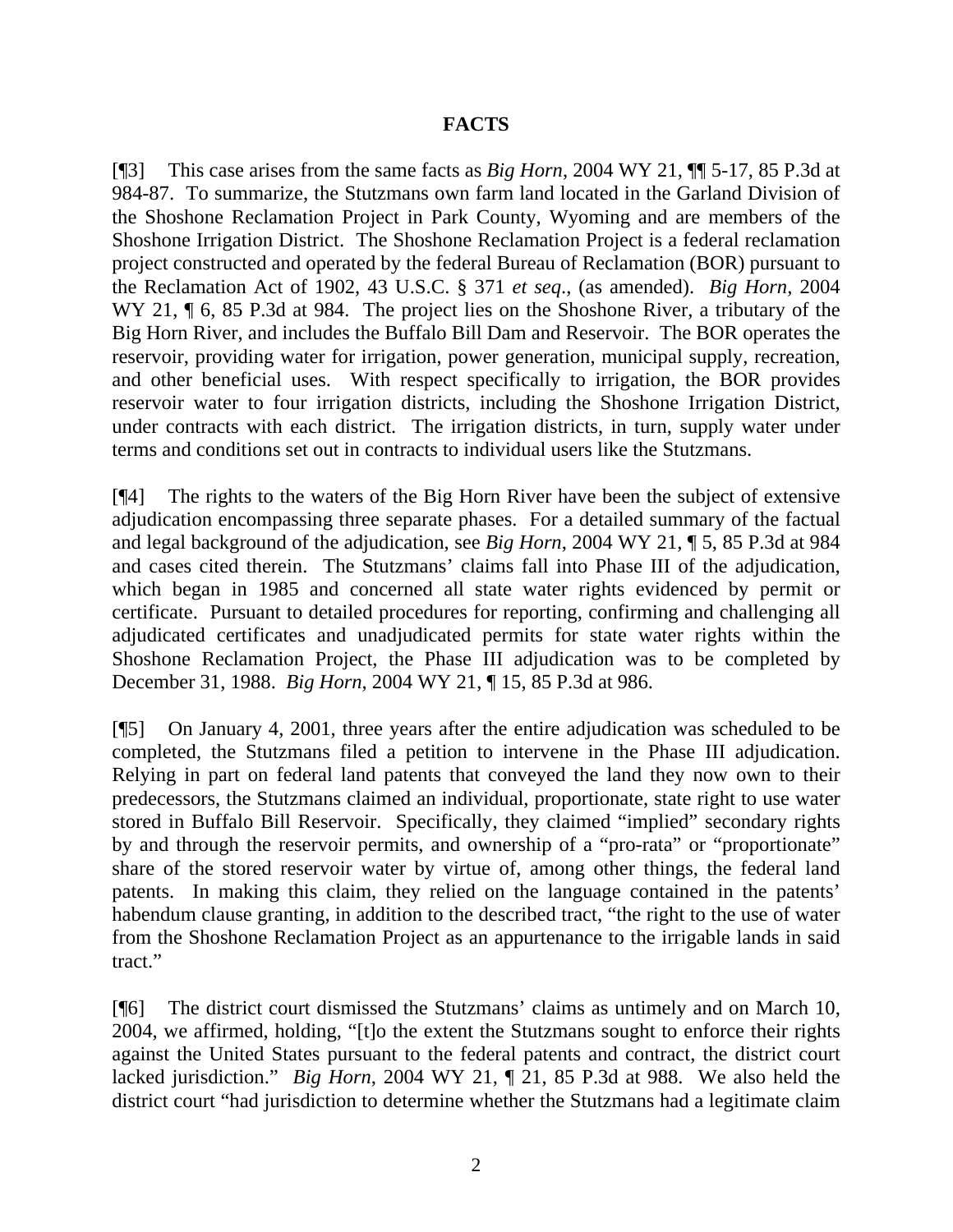## **FACTS**

[¶3] This case arises from the same facts as *Big Horn*, 2004 WY 21, ¶¶ 5-17, 85 P.3d at 984-87. To summarize, the Stutzmans own farm land located in the Garland Division of the Shoshone Reclamation Project in Park County, Wyoming and are members of the Shoshone Irrigation District. The Shoshone Reclamation Project is a federal reclamation project constructed and operated by the federal Bureau of Reclamation (BOR) pursuant to the Reclamation Act of 1902, 43 U.S.C. § 371 *et seq*., (as amended). *Big Horn*, 2004 WY 21,  $\P$  6, 85 P.3d at 984. The project lies on the Shoshone River, a tributary of the Big Horn River, and includes the Buffalo Bill Dam and Reservoir. The BOR operates the reservoir, providing water for irrigation, power generation, municipal supply, recreation, and other beneficial uses. With respect specifically to irrigation, the BOR provides reservoir water to four irrigation districts, including the Shoshone Irrigation District, under contracts with each district. The irrigation districts, in turn, supply water under terms and conditions set out in contracts to individual users like the Stutzmans.

[¶4] The rights to the waters of the Big Horn River have been the subject of extensive adjudication encompassing three separate phases. For a detailed summary of the factual and legal background of the adjudication, see *Big Horn*, 2004 WY 21, ¶ 5, 85 P.3d at 984 and cases cited therein. The Stutzmans' claims fall into Phase III of the adjudication, which began in 1985 and concerned all state water rights evidenced by permit or certificate. Pursuant to detailed procedures for reporting, confirming and challenging all adjudicated certificates and unadjudicated permits for state water rights within the Shoshone Reclamation Project, the Phase III adjudication was to be completed by December 31, 1988. *Big Horn*, 2004 WY 21, ¶ 15, 85 P.3d at 986.

[¶5] On January 4, 2001, three years after the entire adjudication was scheduled to be completed, the Stutzmans filed a petition to intervene in the Phase III adjudication. Relying in part on federal land patents that conveyed the land they now own to their predecessors, the Stutzmans claimed an individual, proportionate, state right to use water stored in Buffalo Bill Reservoir. Specifically, they claimed "implied" secondary rights by and through the reservoir permits, and ownership of a "pro-rata" or "proportionate" share of the stored reservoir water by virtue of, among other things, the federal land patents. In making this claim, they relied on the language contained in the patents' habendum clause granting, in addition to the described tract, "the right to the use of water from the Shoshone Reclamation Project as an appurtenance to the irrigable lands in said tract."

[¶6] The district court dismissed the Stutzmans' claims as untimely and on March 10, 2004, we affirmed, holding, "[t]o the extent the Stutzmans sought to enforce their rights against the United States pursuant to the federal patents and contract, the district court lacked jurisdiction." *Big Horn*, 2004 WY 21, ¶ 21, 85 P.3d at 988. We also held the district court "had jurisdiction to determine whether the Stutzmans had a legitimate claim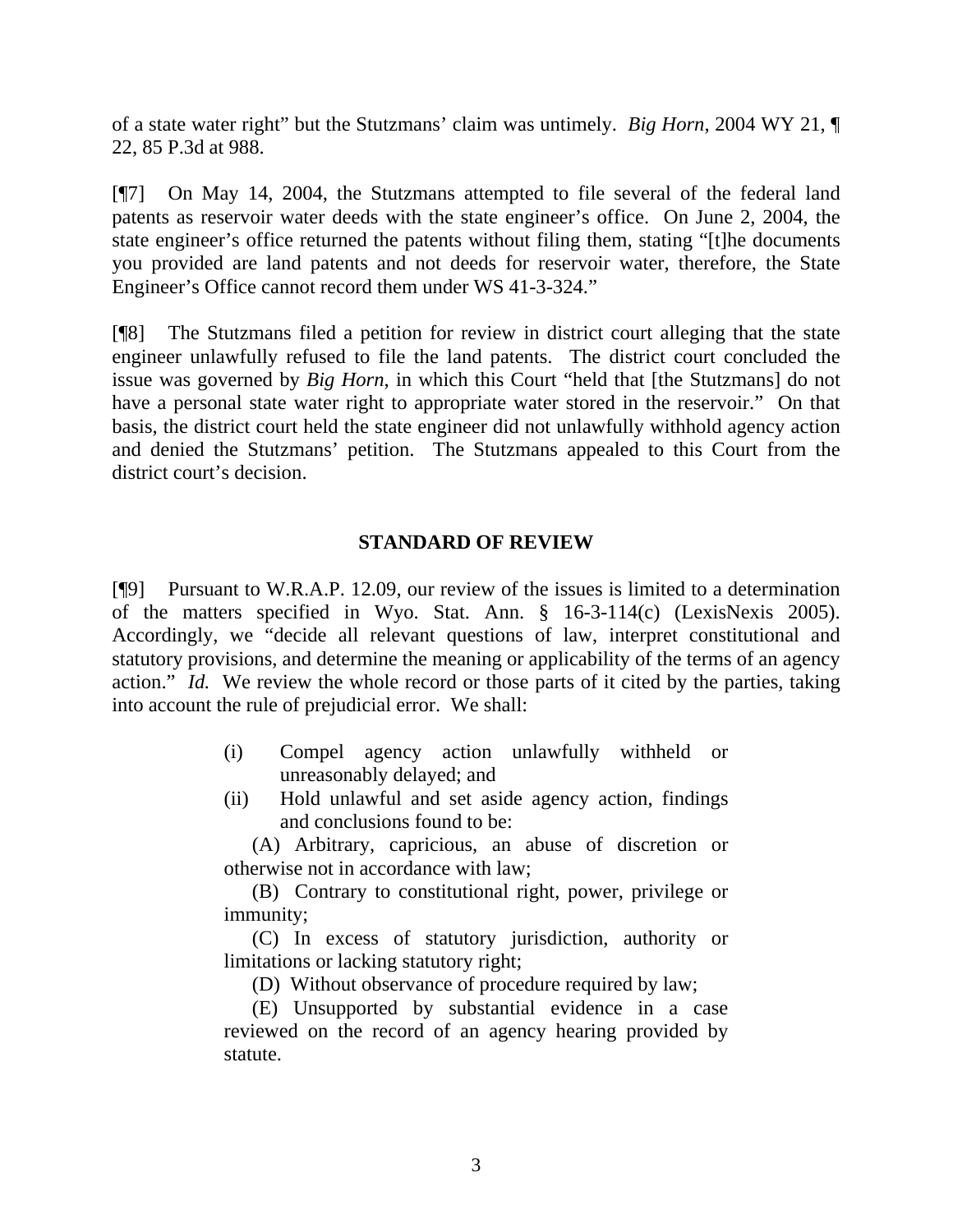of a state water right" but the Stutzmans' claim was untimely. *Big Horn*, 2004 WY 21, ¶ 22, 85 P.3d at 988.

[¶7] On May 14, 2004, the Stutzmans attempted to file several of the federal land patents as reservoir water deeds with the state engineer's office. On June 2, 2004, the state engineer's office returned the patents without filing them, stating "[t]he documents you provided are land patents and not deeds for reservoir water, therefore, the State Engineer's Office cannot record them under WS 41-3-324."

[¶8] The Stutzmans filed a petition for review in district court alleging that the state engineer unlawfully refused to file the land patents. The district court concluded the issue was governed by *Big Horn*, in which this Court "held that [the Stutzmans] do not have a personal state water right to appropriate water stored in the reservoir." On that basis, the district court held the state engineer did not unlawfully withhold agency action and denied the Stutzmans' petition. The Stutzmans appealed to this Court from the district court's decision.

# **STANDARD OF REVIEW**

[¶9] Pursuant to W.R.A.P. 12.09, our review of the issues is limited to a determination of the matters specified in Wyo. Stat. Ann. § 16-3-114(c) (LexisNexis 2005). Accordingly, we "decide all relevant questions of law, interpret constitutional and statutory provisions, and determine the meaning or applicability of the terms of an agency action." *Id.* We review the whole record or those parts of it cited by the parties, taking into account the rule of prejudicial error. We shall:

- (i) Compel agency action unlawfully withheld or unreasonably delayed; and
- (ii) Hold unlawful and set aside agency action, findings and conclusions found to be:

(A) Arbitrary, capricious, an abuse of discretion or otherwise not in accordance with law;

(B) Contrary to constitutional right, power, privilege or immunity;

(C) In excess of statutory jurisdiction, authority or limitations or lacking statutory right;

(D) Without observance of procedure required by law;

(E) Unsupported by substantial evidence in a case reviewed on the record of an agency hearing provided by statute.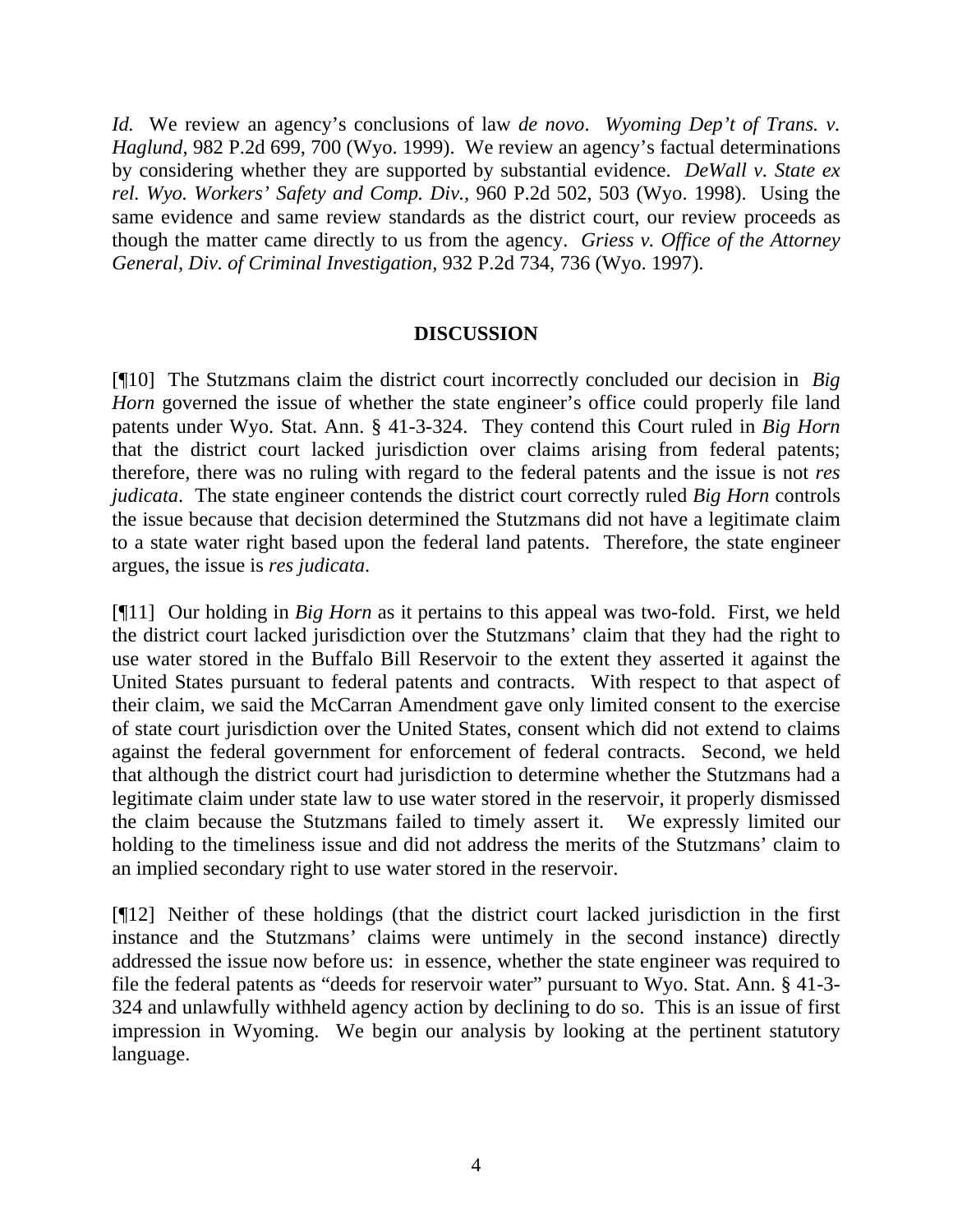*Id.* We review an agency's conclusions of law *de novo*. *Wyoming Dep't of Trans. v. Haglund*, 982 P.2d 699, 700 (Wyo. 1999). We review an agency's factual determinations by considering whether they are supported by substantial evidence. *DeWall v. State ex rel. Wyo. Workers' Safety and Comp. Div.,* 960 P.2d 502, 503 (Wyo. 1998). Using the same evidence and same review standards as the district court, our review proceeds as though the matter came directly to us from the agency. *Griess v. Office of the Attorney General*, *Div. of Criminal Investigation*, 932 P.2d 734, 736 (Wyo. 1997).

#### **DISCUSSION**

[¶10] The Stutzmans claim the district court incorrectly concluded our decision in *Big Horn* governed the issue of whether the state engineer's office could properly file land patents under Wyo. Stat. Ann. § 41-3-324. They contend this Court ruled in *Big Horn* that the district court lacked jurisdiction over claims arising from federal patents; therefore, there was no ruling with regard to the federal patents and the issue is not *res judicata*. The state engineer contends the district court correctly ruled *Big Horn* controls the issue because that decision determined the Stutzmans did not have a legitimate claim to a state water right based upon the federal land patents. Therefore, the state engineer argues, the issue is *res judicata*.

[¶11] Our holding in *Big Horn* as it pertains to this appeal was two-fold. First, we held the district court lacked jurisdiction over the Stutzmans' claim that they had the right to use water stored in the Buffalo Bill Reservoir to the extent they asserted it against the United States pursuant to federal patents and contracts. With respect to that aspect of their claim, we said the McCarran Amendment gave only limited consent to the exercise of state court jurisdiction over the United States, consent which did not extend to claims against the federal government for enforcement of federal contracts. Second, we held that although the district court had jurisdiction to determine whether the Stutzmans had a legitimate claim under state law to use water stored in the reservoir, it properly dismissed the claim because the Stutzmans failed to timely assert it. We expressly limited our holding to the timeliness issue and did not address the merits of the Stutzmans' claim to an implied secondary right to use water stored in the reservoir.

[¶12] Neither of these holdings (that the district court lacked jurisdiction in the first instance and the Stutzmans' claims were untimely in the second instance) directly addressed the issue now before us: in essence, whether the state engineer was required to file the federal patents as "deeds for reservoir water" pursuant to Wyo. Stat. Ann. § 41-3- 324 and unlawfully withheld agency action by declining to do so. This is an issue of first impression in Wyoming. We begin our analysis by looking at the pertinent statutory language.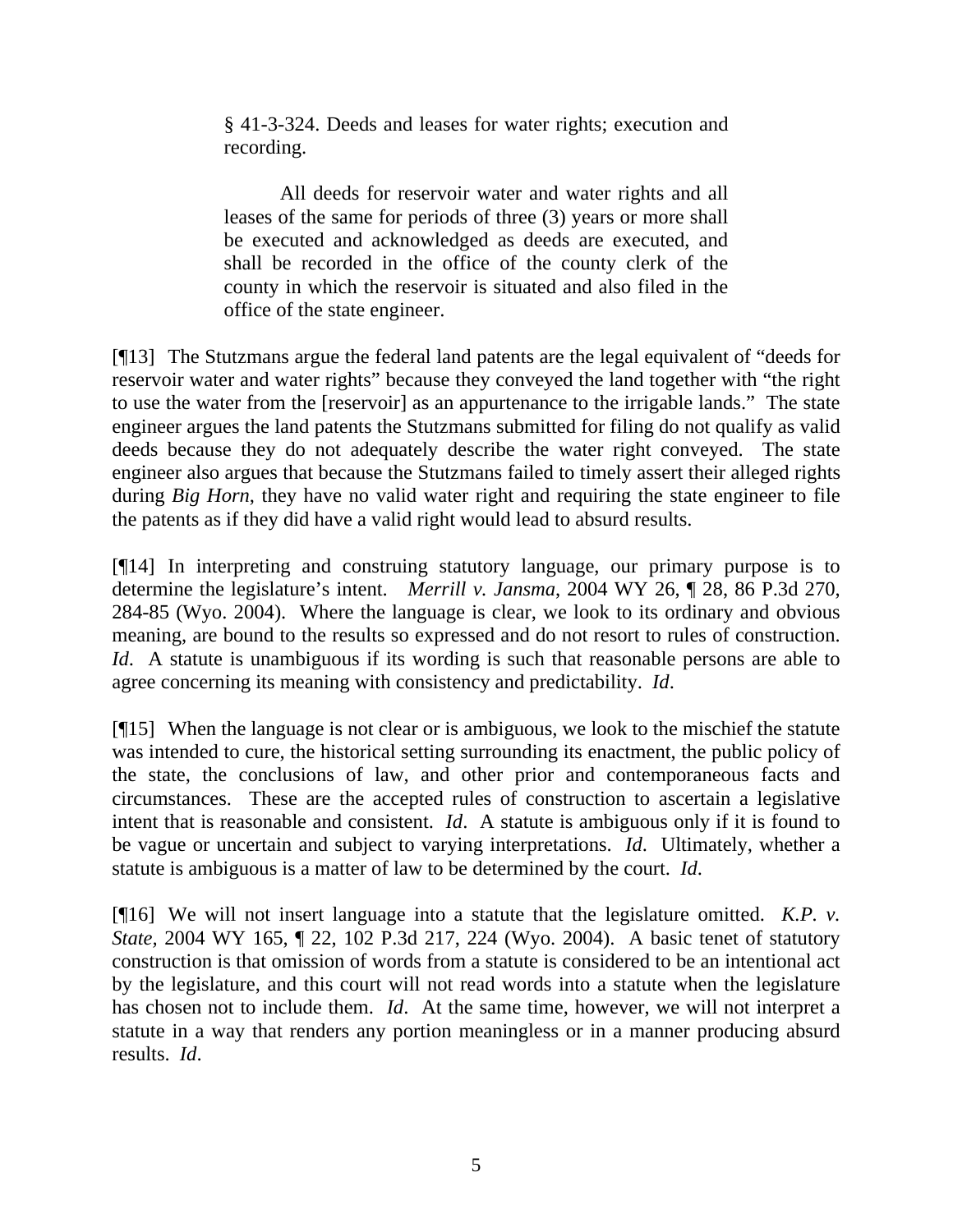§ 41-3-324. Deeds and leases for water rights; execution and recording.

 All deeds for reservoir water and water rights and all leases of the same for periods of three (3) years or more shall be executed and acknowledged as deeds are executed, and shall be recorded in the office of the county clerk of the county in which the reservoir is situated and also filed in the office of the state engineer.

[¶13] The Stutzmans argue the federal land patents are the legal equivalent of "deeds for reservoir water and water rights" because they conveyed the land together with "the right to use the water from the [reservoir] as an appurtenance to the irrigable lands." The state engineer argues the land patents the Stutzmans submitted for filing do not qualify as valid deeds because they do not adequately describe the water right conveyed. The state engineer also argues that because the Stutzmans failed to timely assert their alleged rights during *Big Horn*, they have no valid water right and requiring the state engineer to file the patents as if they did have a valid right would lead to absurd results.

[¶14] In interpreting and construing statutory language, our primary purpose is to determine the legislature's intent. *Merrill v. Jansma*, 2004 WY 26, ¶ 28, 86 P.3d 270, 284-85 (Wyo. 2004). Where the language is clear, we look to its ordinary and obvious meaning, are bound to the results so expressed and do not resort to rules of construction. *Id.* A statute is unambiguous if its wording is such that reasonable persons are able to agree concerning its meaning with consistency and predictability. *Id*.

[¶15] When the language is not clear or is ambiguous, we look to the mischief the statute was intended to cure, the historical setting surrounding its enactment, the public policy of the state, the conclusions of law, and other prior and contemporaneous facts and circumstances. These are the accepted rules of construction to ascertain a legislative intent that is reasonable and consistent. *Id*. A statute is ambiguous only if it is found to be vague or uncertain and subject to varying interpretations. *Id*. Ultimately, whether a statute is ambiguous is a matter of law to be determined by the court. *Id*.

[¶16] We will not insert language into a statute that the legislature omitted. *K.P. v. State,* 2004 WY 165, ¶ 22, 102 P.3d 217, 224 (Wyo. 2004). A basic tenet of statutory construction is that omission of words from a statute is considered to be an intentional act by the legislature, and this court will not read words into a statute when the legislature has chosen not to include them. *Id*. At the same time, however, we will not interpret a statute in a way that renders any portion meaningless or in a manner producing absurd results. *Id*.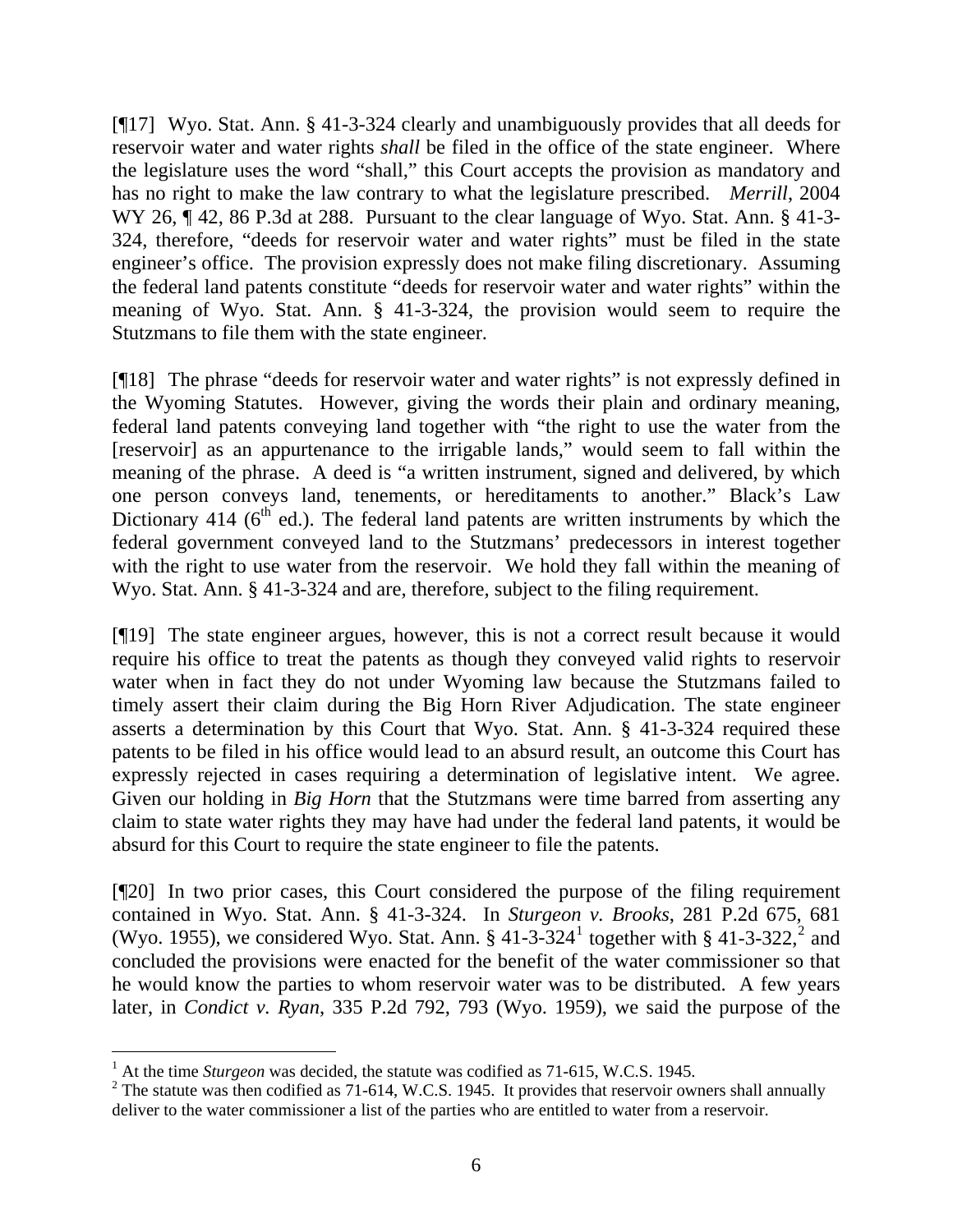[¶17] Wyo. Stat. Ann. § 41-3-324 clearly and unambiguously provides that all deeds for reservoir water and water rights *shall* be filed in the office of the state engineer. Where the legislature uses the word "shall," this Court accepts the provision as mandatory and has no right to make the law contrary to what the legislature prescribed. *Merrill*, 2004 WY 26,  $\P$  42, 86 P.3d at 288. Pursuant to the clear language of Wyo. Stat. Ann. § 41-3-324, therefore, "deeds for reservoir water and water rights" must be filed in the state engineer's office. The provision expressly does not make filing discretionary. Assuming the federal land patents constitute "deeds for reservoir water and water rights" within the meaning of Wyo. Stat. Ann. § 41-3-324, the provision would seem to require the Stutzmans to file them with the state engineer.

[¶18] The phrase "deeds for reservoir water and water rights" is not expressly defined in the Wyoming Statutes. However, giving the words their plain and ordinary meaning, federal land patents conveying land together with "the right to use the water from the [reservoir] as an appurtenance to the irrigable lands," would seem to fall within the meaning of the phrase. A deed is "a written instrument, signed and delivered, by which one person conveys land, tenements, or hereditaments to another." Black's Law Dictionary 414 ( $6<sup>th</sup>$  ed.). The federal land patents are written instruments by which the federal government conveyed land to the Stutzmans' predecessors in interest together with the right to use water from the reservoir. We hold they fall within the meaning of Wyo. Stat. Ann. § 41-3-324 and are, therefore, subject to the filing requirement.

[¶19] The state engineer argues, however, this is not a correct result because it would require his office to treat the patents as though they conveyed valid rights to reservoir water when in fact they do not under Wyoming law because the Stutzmans failed to timely assert their claim during the Big Horn River Adjudication. The state engineer asserts a determination by this Court that Wyo. Stat. Ann. § 41-3-324 required these patents to be filed in his office would lead to an absurd result, an outcome this Court has expressly rejected in cases requiring a determination of legislative intent. We agree. Given our holding in *Big Horn* that the Stutzmans were time barred from asserting any claim to state water rights they may have had under the federal land patents, it would be absurd for this Court to require the state engineer to file the patents.

[¶20] In two prior cases, this Court considered the purpose of the filing requirement contained in Wyo. Stat. Ann. § 41-3-324. In *Sturgeon v. Brooks*, 281 P.2d 675, 681 (Wyo. [1](#page-7-0)955), we considered Wyo. Stat. Ann.  $\S$  41-3-3[2](#page-7-1)4<sup>1</sup> together with  $\S$  41-3-322,<sup>2</sup> and concluded the provisions were enacted for the benefit of the water commissioner so that he would know the parties to whom reservoir water was to be distributed. A few years later, in *Condict v. Ryan*, 335 P.2d 792, 793 (Wyo. 1959), we said the purpose of the

<span id="page-7-0"></span> $<sup>1</sup>$  At the time *Sturgeon* was decided, the statute was codified as 71-615, W.C.S. 1945.</sup>

<span id="page-7-1"></span><sup>&</sup>lt;sup>2</sup> The statute was then codified as 71-614, W.C.S. 1945. It provides that reservoir owners shall annually deliver to the water commissioner a list of the parties who are entitled to water from a reservoir.